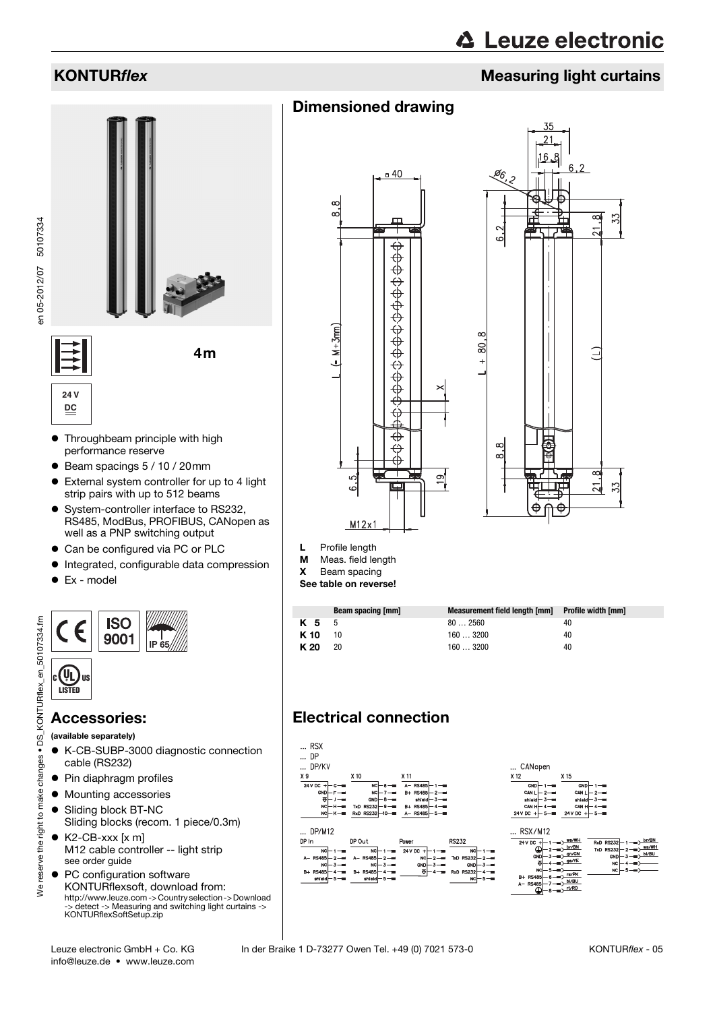# **KONTURflex** Measuring light curtains

# Dimensioned drawing



- Throughbeam principle with high performance reserve
- Beam spacings 5 / 10 / 20mm
- External system controller for up to 4 light strip pairs with up to 512 beams
- System-controller interface to RS232, RS485, ModBus, PROFIBUS, CANopen as well as a PNP switching output
- Can be configured via PC or PLC
- $\bullet$  Integrated, configurable data compression
- Ex model

**24 V DC**

en 05-2012/07 50107334

en 05-2012/07 50107334



## Accessories:

(available separately)

- K-CB-SUBP-3000 diagnostic connection cable (RS232)
- Pin diaphragm profiles
- $\bullet$  Mounting accessories
- Sliding block BT-NC
- Sliding blocks (recom. 1 piece/0.3m)
- K2-CB-xxx [x m] M12 cable controller -- light strip see order guide
- PC configuration software KONTURflexsoft, download from: http://www.leuze.com -> Country selection -> Download -> detect -> Measuring and switching light curtains -> KONTURflexSoftSetup.zip





- L Profile length<br>M Meas. field le
- Meas. field length
- X Beam spacing
- See table on reverse!

|              | Beam spacing [mm] | Measurement field length [mm] | Profile width [mm] |
|--------------|-------------------|-------------------------------|--------------------|
| <b>K 5</b> 5 |                   | 802560                        | 40                 |
| K 10         | 10                | 160  3200                     | 40                 |
| K 20         | 20                | 1603200                       | 40                 |

# Electrical connection